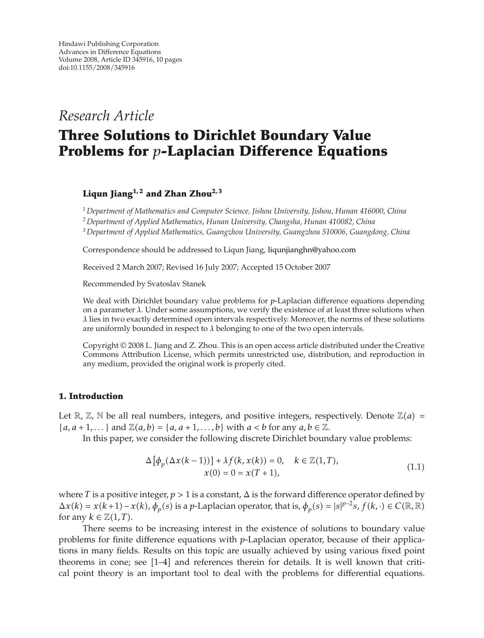*Research Article*

# **Three Solutions to Dirichlet Boundary Value Problems for** *p***-Laplacian Difference Equations**

**Liqun Jiang1, 2 and Zhan Zhou2, 3**

*<sup>1</sup> Department of Mathematics and Computer Science, Jishou University, Jishou, Hunan 416000, China*

*<sup>2</sup> Department of Applied Mathematics, Hunan University, Changsha, Hunan 410082, China*

*<sup>3</sup> Department of Applied Mathematics, Guangzhou University, Guangzhou 510006, Guangdong, China*

Correspondence should be addressed to Liqun Jiang, liqunjianghn@yahoo.com

Received 2 March 2007; Revised 16 July 2007; Accepted 15 October 2007

Recommended by Svatoslav Stanek

We deal with Dirichlet boundary value problems for *p*-Laplacian difference equations depending on a parameter *λ*. Under some assumptions, we verify the existence of at least three solutions when *λ* lies in two exactly determined open intervals respectively. Moreover, the norms of these solutions are uniformly bounded in respect to *λ* belonging to one of the two open intervals.

Copyright © 2008 L. Jiang and Z. Zhou. This is an open access article distributed under the Creative Commons Attribution License, which permits unrestricted use, distribution, and reproduction in any medium, provided the original work is properly cited.

#### **1. Introduction**

Let  $\mathbb{R}, \mathbb{Z}, \mathbb{N}$  be all real numbers, integers, and positive integers, respectively. Denote  $\mathbb{Z}(a)$  =  ${a, a+1,...}$  and  $\mathbb{Z}(a, b) = {a, a+1,...,b}$  with  $a < b$  for any  $a, b \in \mathbb{Z}$ .

In this paper, we consider the following discrete Dirichlet boundary value problems:

$$
\Delta \left[ \phi_p(\Delta x(k-1)) \right] + \lambda f(k, x(k)) = 0, \quad k \in \mathbb{Z}(1, T),
$$
  

$$
x(0) = 0 = x(T+1), \tag{1.1}
$$

where *T* is a positive integer,  $p > 1$  is a constant,  $\Delta$  is the forward difference operator defined by  $\Delta x(k) = x(k+1) - x(k)$ ,  $\phi_p(s)$  is a *p*-Laplacian operator, that is,  $\phi_p(s) = |s|^{p-2} s$ ,  $f(k, \cdot) \in C(\mathbb{R}, \mathbb{R})$ for any  $k \in \mathbb{Z}(1,T)$ .

There seems to be increasing interest in the existence of solutions to boundary value problems for finite difference equations with *p*-Laplacian operator, because of their applications in many fields. Results on this topic are usually achieved by using various fixed point theorems in cone; see  $[1-4]$  and references therein for details. It is well known that critical point theory is an important tool to deal with the problems for differential equations.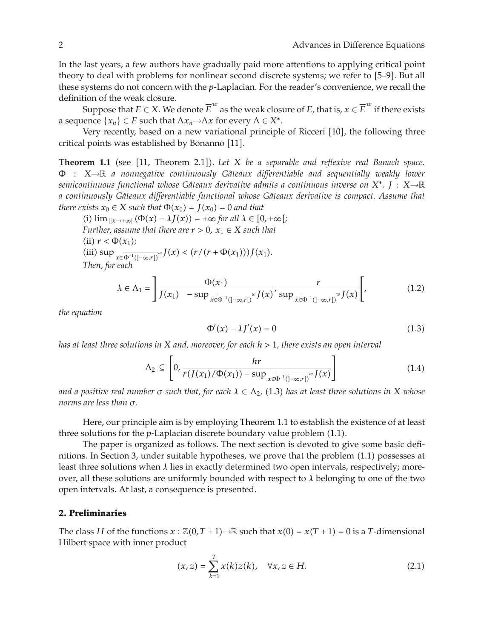In the last years, a few authors have gradually paid more attentions to applying critical point theory to deal with problems for nonlinear second discrete systems; we refer to [5–9]. But all these systems do not concern with the *p*-Laplacian. For the reader's convenience, we recall the definition of the weak closure.

Suppose that  $E \subset X$ . We denote  $\overline{E}^w$  as the weak closure of  $E$ , that is,  $x \in \overline{E}^w$  if there exists a sequence  $\{x_n\} \subset E$  such that  $\Lambda x_n \to \Lambda x$  for every  $\Lambda \in X^*$ .

Very recently, based on a new variational principle of Ricceri [10], the following three critical points was established by Bonanno [11].

**Theorem 1.1** (see [11, Theorem 2.1]). Let *X* be a separable and reflexive real Banach space. <sup>Φ</sup> : *<sup>X</sup>*→<sup>R</sup> *a nonnegative continuously Gateaux di <sup>ˆ</sup> fferentiable and sequentially weakly lower semicontinuous functional whose Gâteaux derivative admits a continuous inverse on*  $X^*$ . *J* :  $X\rightarrow \mathbb{R}$ *a continuously Gateaux di ˆ fferentiable functional whose Gateaux derivative is compact. Assume that ˆ there exists*  $x_0 \in X$  *such that*  $\Phi(x_0) = J(x_0) = 0$  *and that* 

 $\lim_{\|x\to\infty\}$   $(\Phi(x) - \lambda J(x)) = +\infty$  for all  $\lambda \in [0, +\infty)$ ; *Further, assume that there are*  $r > 0$ ,  $x_1 \in X$  *such that* (ii)  $r < \Phi(x_1)$ ;  $\lim_{x \to \infty} \sup_{x \in \overline{\Phi}^{-1}(]-\infty,r[)} w J(x) < (r/(r+\Phi(x_1)))J(x_1).$ *Then, for each*

$$
\lambda \in \Lambda_1 = \left[ \frac{\Phi(x_1)}{J(x_1) - \sup_{x \in \overline{\Phi^{-1}}(]-\infty, r[)} w J(x)}, \frac{r}{\sup_{x \in \overline{\Phi^{-1}}(]-\infty, r[)} w J(x)} \right],
$$
(1.2)

*the equation*

$$
\Phi'(x) - \lambda J'(x) = 0 \tag{1.3}
$$

*has at least three solutions in X and, moreover, for each h >* 1*, there exists an open interval*

$$
\Lambda_2 \subseteq \left[0, \frac{hr}{r(J(x_1)/\Phi(x_1)) - \sup_{x \in \Phi^{-1}(]-\infty, r[)} w J(x)}\right]
$$
\n(1.4)

*and a positive real number*  $\sigma$  *such that, for each*  $\lambda \in \Lambda_2$ , (1.3) has at least three solutions in X whose *norms are less than σ.*

Here, our principle aim is by employing Theorem 1.1 to establish the existence of at least three solutions for the *p*-Laplacian discrete boundary value problem (1.1).

The paper is organized as follows. The next section is devoted to give some basic definitions. In Section 3, under suitable hypotheses, we prove that the problem (1.1) possesses at least three solutions when *λ* lies in exactly determined two open intervals, respectively; moreover, all these solutions are uniformly bounded with respect to *λ* belonging to one of the two open intervals. At last, a consequence is presented.

#### **2. Preliminaries**

The class *H* of the functions  $x : \mathbb{Z}(0,T+1) \to \mathbb{R}$  such that  $x(0) = x(T+1) = 0$  is a *T*-dimensional Hilbert space with inner product

$$
(x, z) = \sum_{k=1}^{T} x(k)z(k), \quad \forall x, z \in H.
$$
 (2.1)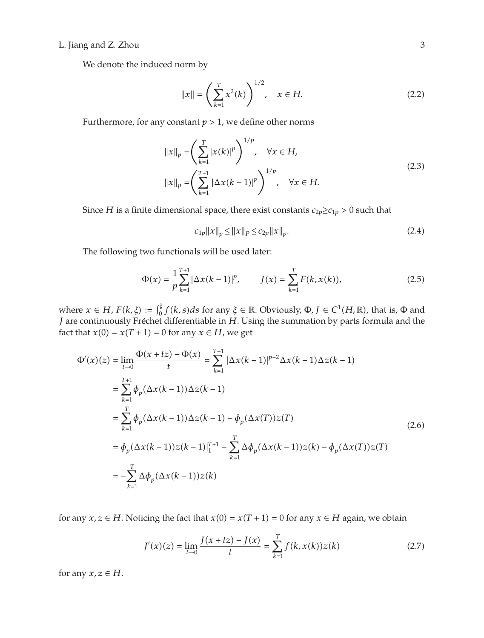## L. Jiang and Z. Zhou 3

We denote the induced norm by

$$
||x|| = \left(\sum_{k=1}^{T} x^2(k)\right)^{1/2}, \quad x \in H.
$$
 (2.2)

Furthermore, for any constant  $p > 1$ , we define other norms

$$
||x||_p = \left(\sum_{k=1}^T |x(k)|^p\right)^{1/p}, \quad \forall x \in H,
$$
  

$$
||x||_p = \left(\sum_{k=1}^{T+1} |\Delta x(k-1)|^p\right)^{1/p}, \quad \forall x \in H.
$$
 (2.3)

Since *H* is a finite dimensional space, there exist constants  $c_{2p} \ge c_{1p} > 0$  such that

$$
c_{1p} \|x\|_p \le \|x\|_p \le c_{2p} \|x\|_p. \tag{2.4}
$$

The following two functionals will be used later:

$$
\Phi(x) = \frac{1}{p} \sum_{k=1}^{T+1} |\Delta x(k-1)|^p, \qquad J(x) = \sum_{k=1}^{T} F(k, x(k)), \tag{2.5}
$$

where  $x \in H$ ,  $F(k, \xi) := \int_0^{\xi} f(k, s) ds$  for any  $\xi \in \mathbb{R}$ . Obviously,  $\Phi$ ,  $J \in C^1(H, \mathbb{R})$ , that is,  $\Phi$  and *J* are continuously Fréchet differentiable in *H*. Using the summation by parts formula and the fact that  $x(0) = x(T + 1) = 0$  for any  $x \in H$ , we get

$$
\Phi'(x)(z) = \lim_{t \to 0} \frac{\Phi(x + tz) - \Phi(x)}{t} = \sum_{k=1}^{T+1} |\Delta x(k-1)|^{p-2} \Delta x(k-1) \Delta z(k-1)
$$
  
\n
$$
= \sum_{k=1}^{T+1} \phi_p(\Delta x(k-1)) \Delta z(k-1)
$$
  
\n
$$
= \sum_{k=1}^{T} \phi_p(\Delta x(k-1)) \Delta z(k-1) - \phi_p(\Delta x(T)) z(T)
$$
  
\n
$$
= \phi_p(\Delta x(k-1)) z(k-1)|_1^{T+1} - \sum_{k=1}^{T} \Delta \phi_p(\Delta x(k-1)) z(k) - \phi_p(\Delta x(T)) z(T)
$$
  
\n
$$
= -\sum_{k=1}^{T} \Delta \phi_p(\Delta x(k-1)) z(k)
$$
\n(2.6)

for any  $x, z \in H$ . Noticing the fact that  $x(0) = x(T + 1) = 0$  for any  $x \in H$  again, we obtain

$$
J'(x)(z) = \lim_{t \to 0} \frac{J(x + tz) - J(x)}{t} = \sum_{k=1}^{T} f(k, x(k))z(k)
$$
 (2.7)

for any  $x, z \in H$ .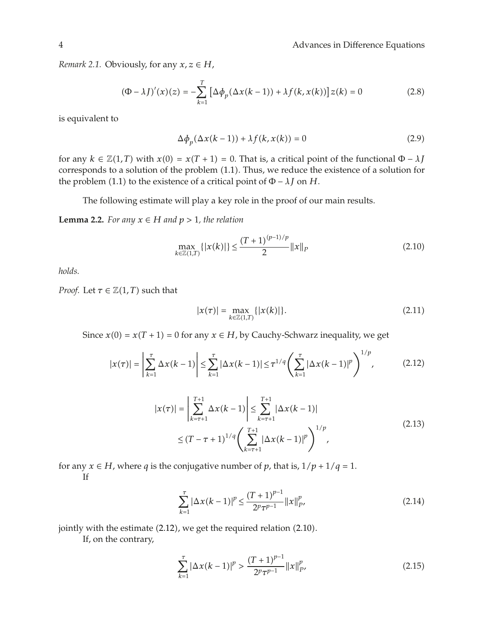4 Advances in Difference Equations

*Remark 2.1.* Obviously, for any  $x, z \in H$ ,

$$
(\Phi - \lambda J)'(x)(z) = -\sum_{k=1}^{T} \left[ \Delta \phi_p(\Delta x(k-1)) + \lambda f(k, x(k)) \right] z(k) = 0 \tag{2.8}
$$

is equivalent to

$$
\Delta \phi_p(\Delta x(k-1)) + \lambda f(k, x(k)) = 0 \tag{2.9}
$$

for any  $k \in \mathbb{Z}(1,T)$  with  $x(0) = x(T + 1) = 0$ . That is, a critical point of the functional  $\Phi - \lambda J$ corresponds to a solution of the problem (1.1). Thus, we reduce the existence of a solution for the problem (1.1) to the existence of a critical point of  $\Phi - \lambda J$  on *H*.

The following estimate will play a key role in the proof of our main results.

**Lemma 2.2.** *For any*  $x ∈ H$  *and*  $p > 1$ *, the relation* 

$$
\max_{k \in \mathbb{Z}(1,T)} \{|x(k)|\} \le \frac{(T+1)^{(p-1)/p}}{2} \|x\|_P \tag{2.10}
$$

*holds.*

*Proof.* Let  $\tau \in \mathbb{Z}(1,T)$  such that

$$
|x(\tau)| = \max_{k \in \mathbb{Z}(1,T)} \{|x(k)|\}.
$$
 (2.11)

Since  $x(0) = x(T + 1) = 0$  for any  $x \in H$ , by Cauchy-Schwarz inequality, we get

$$
|x(\tau)| = \left| \sum_{k=1}^{\tau} \Delta x(k-1) \right| \leq \sum_{k=1}^{\tau} |\Delta x(k-1)| \leq \tau^{1/q} \left( \sum_{k=1}^{\tau} |\Delta x(k-1)|^p \right)^{1/p}, \tag{2.12}
$$

$$
|x(\tau)| = \left| \sum_{k=\tau+1}^{T+1} \Delta x(k-1) \right| \le \sum_{k=\tau+1}^{T+1} |\Delta x(k-1)|
$$
  
 
$$
\le (T - \tau + 1)^{1/q} \left( \sum_{k=\tau+1}^{T+1} |\Delta x(k-1)|^p \right)^{1/p}, \tag{2.13}
$$

for any  $x \in H$ , where *q* is the conjugative number of *p*, that is,  $1/p + 1/q = 1$ . If

$$
\sum_{k=1}^{T} |\Delta x(k-1)|^{p} \le \frac{(T+1)^{p-1}}{2^{p} \tau^{p-1}} ||x||_{P'}^{p},\tag{2.14}
$$

jointly with the estimate  $(2.12)$ , we get the required relation  $(2.10)$ .

If, on the contrary,

$$
\sum_{k=1}^{T} |\Delta x(k-1)|^p > \frac{(T+1)^{p-1}}{2^p \tau^{p-1}} ||x||_{P'}^p
$$
\n(2.15)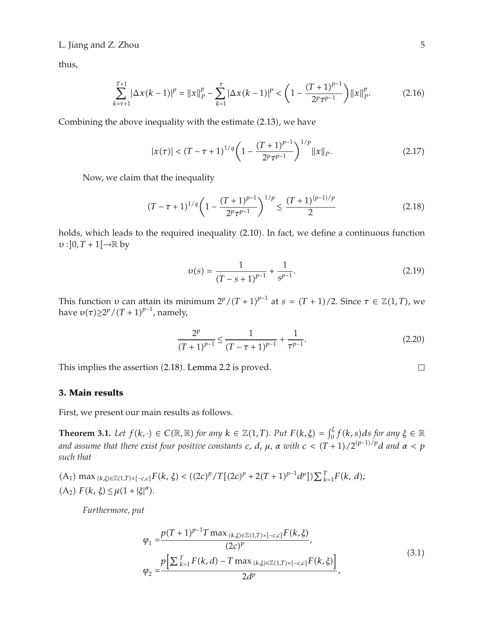### L. Jiang and Z. Zhou 5

thus,

$$
\sum_{k=\tau+1}^{T+1} |\Delta x(k-1)|^p = ||x||_p^p - \sum_{k=1}^{\tau} |\Delta x(k-1)|^p < \left(1 - \frac{(T+1)^{p-1}}{2^p \tau^{p-1}}\right) ||x||_p^p. \tag{2.16}
$$

Combining the above inequality with the estimate  $(2.13)$ , we have

$$
|x(\tau)| < (T - \tau + 1)^{1/q} \left(1 - \frac{(T + 1)^{p-1}}{2^p \tau^{p-1}}\right)^{1/p} \|x\|_P. \tag{2.17}
$$

Now, we claim that the inequality

$$
(T - \tau + 1)^{1/q} \left(1 - \frac{(T + 1)^{p-1}}{2^p \tau^{p-1}}\right)^{1/p} \le \frac{(T + 1)^{(p-1)/p}}{2} \tag{2.18}
$$

holds, which leads to the required inequality (2.10). In fact, we define a continuous function  $v$  :  $]0, T + 1[\rightarrow \mathbb{R}$  by

$$
v(s) = \frac{1}{(T - s + 1)^{p-1}} + \frac{1}{s^{p-1}}.
$$
\n(2.19)

This function *υ* can attain its minimum  $2^p/(T+1)^{p-1}$  at  $s = (T+1)/2$ . Since  $\tau \in \mathbb{Z}(1,T)$ , we have  $v(\tau) \geq 2^p/(T+1)^{p-1}$ , namely,

$$
\frac{2^p}{(T+1)^{p-1}} \le \frac{1}{(T-\tau+1)^{p-1}} + \frac{1}{\tau^{p-1}}.
$$
\n(2.20)

This implies the assertion (2.18). Lemma 2.2 is proved.

### **3. Main results**

First, we present our main results as follows.

**Theorem 3.1.** Let  $f(k, \cdot) \in C(\mathbb{R}, \mathbb{R})$  for any  $k \in \mathbb{Z}(1, T)$ . Put  $F(k, \xi) = \int_0^{\xi} f(k, s) ds$  for any  $\xi \in \mathbb{R}$ *and assume that there exist four positive constants c, d,*  $\mu$ *,*  $\alpha$  *with*  $c < (T+1)/2^{(p-1)/p}d$  *and*  $\alpha < p$ *such that*

 $(A_1) \max_{(k,\xi)\in\mathbb{Z}(1,T)\times[-c,c]} F(k,\xi) < ((2c)^p / T[(2c)^p + 2(T+1)^{p-1}d^p]) \sum_{k=1}^T F(k,d);$  $(A_2) F(k, \xi) \leq \mu(1 + |\xi|^{\alpha}).$ 

*Furthermore, put*

$$
\varphi_1 = \frac{p(T+1)^{p-1} T \max_{(k,\xi)\in\mathbb{Z}(1,T)\times[-c,c]} F(k,\xi)}{(2c)^p},
$$
\n
$$
\varphi_2 = \frac{p\left[\sum_{k=1}^T F(k,d) - T \max_{(k,\xi)\in\mathbb{Z}(1,T)\times[-c,c]} F(k,\xi)\right]}{2d^p},
$$
\n(3.1)

$$
\Box
$$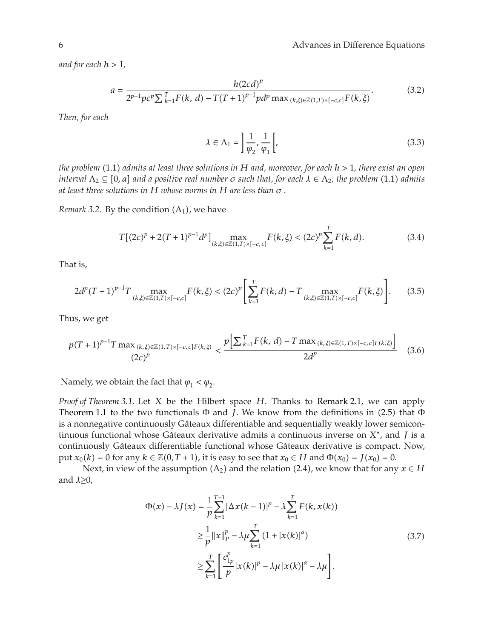*and for each h >* 1*,*

$$
a = \frac{h(2cd)^p}{2^{p-1}pc^p\sum_{k=1}^T F(k, d) - T(T+1)^{p-1}pd^p \max_{(k,\xi)\in\mathbb{Z}(1,T)\times[-c,c]}F(k,\xi)}.
$$
(3.2)

*Then, for each*

$$
\lambda \in \Lambda_1 = \left[ \frac{1}{\varphi_2}, \frac{1}{\varphi_1} \right],\tag{3.3}
$$

*the problem* 1.1 *admits at least three solutions in H and, moreover, for each h >* 1*, there exist an open interval*  $\Lambda_2 \subseteq [0, a]$  *and a positive real number*  $\sigma$  *such that, for each*  $\lambda \in \Lambda_2$ *, the problem* (1.1) *admits at least three solutions in H whose norms in H are less than σ .*

*Remark 3.2.* By the condition  $(A_1)$ , we have

$$
T[(2c)^{p} + 2(T+1)^{p-1}d^{p}] \max_{(k,\xi)\in\mathbb{Z}(1,T)\times[-c,c]} F(k,\xi) < (2c)^{p} \sum_{k=1}^{T} F(k,d).
$$
 (3.4)

That is,

$$
2d^{p}(T+1)^{p-1}T\max_{(k,\xi)\in\mathbb{Z}(1,T)\times[-c,c]}F(k,\xi)<(2c)^{p}\left[\sum_{k=1}^{T}F(k,d)-T\max_{(k,\xi)\in\mathbb{Z}(1,T)\times[-c,c]}F(k,\xi)\right].
$$
 (3.5)

Thus, we get

$$
\frac{p(T+1)^{p-1}T\max_{(k,\xi)\in\mathbb{Z}(1,T)\times[-c,c]F(k,\xi)}}{(2c)^p} < \frac{p\left[\sum_{k=1}^T F(k,d) - T\max_{(k,\xi)\in\mathbb{Z}(1,T)\times[-c,c]F(k,\xi)}[2d^p\right]}{2d^p} \tag{3.6}
$$

Namely, we obtain the fact that  $\varphi_1 < \varphi_2$ .

*Proof of Theorem 3.1.* Let *X* be the Hilbert space *H*. Thanks to Remark 2.1, we can apply Theorem 1.1 to the two functionals  $\Phi$  and *J*. We know from the definitions in (2.5) that  $\Phi$ is a nonnegative continuously Gâteaux differentiable and sequentially weakly lower semicontinuous functional whose Gâteaux derivative admits a continuous inverse on *X*<sup>∗</sup>, and *J* is a continuously Gâteaux differentiable functional whose Gâteaux derivative is compact. Now, put  $x_0(k) = 0$  for any  $k \in \mathbb{Z}(0,T+1)$ , it is easy to see that  $x_0 \in H$  and  $\Phi(x_0) = J(x_0) = 0$ .

Next, in view of the assumption  $(A_2)$  and the relation  $(2.4)$ , we know that for any  $x \in H$ and *λ*≥0,

$$
\Phi(x) - \lambda J(x) = \frac{1}{p} \sum_{k=1}^{T+1} |\Delta x(k-1)|^p - \lambda \sum_{k=1}^T F(k, x(k))
$$
  
\n
$$
\geq \frac{1}{p} ||x||_p^p - \lambda \mu \sum_{k=1}^T (1 + |x(k)|^a)
$$
  
\n
$$
\geq \sum_{k=1}^T \left[ \frac{c_{1p}^p}{p} |x(k)|^p - \lambda \mu |x(k)|^a - \lambda \mu \right].
$$
\n(3.7)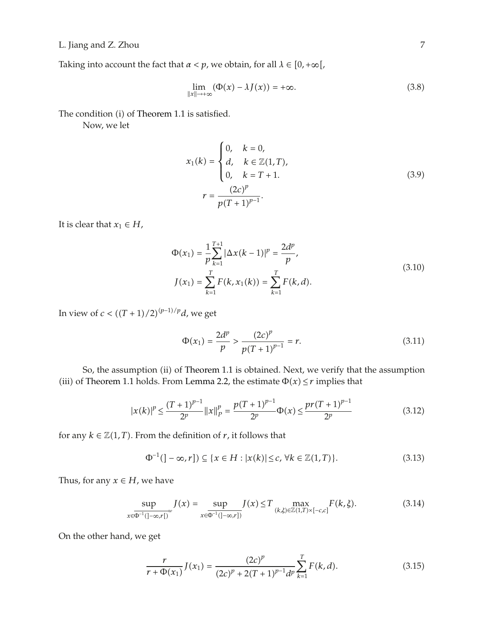L. Jiang and Z. Zhou 7

Taking into account the fact that  $\alpha < p$ , we obtain, for all  $\lambda \in [0, +\infty[,$ 

$$
\lim_{\|x\| \to +\infty} (\Phi(x) - \lambda J(x)) = +\infty.
$$
\n(3.8)

The condition (i) of Theorem 1.1 is satisfied.

Now, we let

$$
x_1(k) = \begin{cases} 0, & k = 0, \\ d, & k \in \mathbb{Z}(1, T), \\ 0, & k = T + 1. \end{cases}
$$
  

$$
r = \frac{(2c)^p}{p(T + 1)^{p-1}}.
$$
 (3.9)

It is clear that  $x_1 \in H$ ,

$$
\Phi(x_1) = \frac{1}{p} \sum_{k=1}^{T+1} |\Delta x(k-1)|^p = \frac{2d^p}{p},
$$
  
\n
$$
J(x_1) = \sum_{k=1}^{T} F(k, x_1(k)) = \sum_{k=1}^{T} F(k, d).
$$
\n(3.10)

In view of  $c < ((T + 1)/2)^{(p-1)/p}d$ , we get

$$
\Phi(x_1) = \frac{2d^p}{p} > \frac{(2c)^p}{p(T+1)^{p-1}} = r. \tag{3.11}
$$

So, the assumption (ii) of Theorem 1.1 is obtained. Next, we verify that the assumption (iii) of Theorem 1.1 holds. From Lemma 2.2, the estimate  $\Phi(x) \le r$  implies that

$$
|x(k)|^{p} \le \frac{(T+1)^{p-1}}{2^p} ||x||_p^p = \frac{p(T+1)^{p-1}}{2^p} \Phi(x) \le \frac{pr(T+1)^{p-1}}{2^p}
$$
(3.12)

for any  $k \in \mathbb{Z}(1,T)$ . From the definition of *r*, it follows that

$$
\Phi^{-1}(\mathbf{]-\infty},r\mathbf{)} \subseteq \{x \in H : |x(k)| \le c, \forall k \in \mathbb{Z}(1,T)\}.
$$
\n(3.13)

Thus, for any  $x \in H$ , we have

$$
\sup_{x \in \overline{\Phi^{-1}(]-\infty,r[)}} J(x) = \sup_{x \in \overline{\Phi^{-1}(]-\infty,r[]}} J(x) \le T \max_{(k,\xi) \in \mathbb{Z}(1,T) \times [-c,c]} F(k,\xi). \tag{3.14}
$$

On the other hand, we get

$$
\frac{r}{r + \Phi(x_1)} J(x_1) = \frac{(2c)^p}{(2c)^p + 2(T+1)^{p-1} d^p} \sum_{k=1}^T F(k, d).
$$
 (3.15)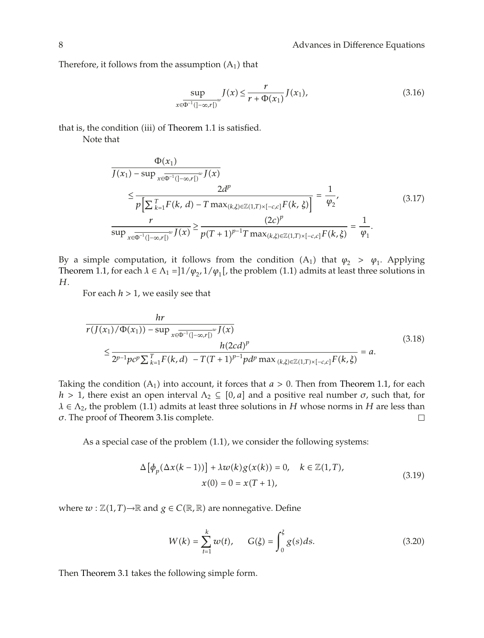Therefore, it follows from the assumption  $(A_1)$  that

$$
\sup_{x \in \Phi^{-1}(]-\infty,r[)} J(x) \le \frac{r}{r + \Phi(x_1)} J(x_1),
$$
\n(3.16)

that is, the condition (iii) of Theorem 1.1 is satisfied.

Note that

$$
\frac{\Phi(x_1)}{J(x_1) - \sup_{x \in \overline{\Phi^{-1}}(|-\infty,r|)} w J(x)} \le \frac{2d^p}{p\left[\sum_{k=1}^T F(k, d) - T \max_{(k,\xi) \in \mathbb{Z}(1,T) \times [-c,c]} F(k, \xi)\right]} = \frac{1}{\varphi_2},
$$
\n
$$
\frac{r}{\sup_{x \in \overline{\Phi^{-1}}(|-\infty,r|)} w J(x)} \ge \frac{(2c)^p}{p(T+1)^{p-1} T \max_{(k,\xi) \in \mathbb{Z}(1,T) \times [-c,c]} F(k, \xi)} = \frac{1}{\varphi_1}.
$$
\n(3.17)

By a simple computation, it follows from the condition  $(A_1)$  that  $\varphi_2 > \varphi_1$ . Applying Theorem 1.1, for each  $\lambda \in \Lambda_1 = \frac{1}{\phi_2}$ ,  $\frac{1}{\phi_1}$ , the problem (1.1) admits at least three solutions in *H*.

For each *h >* 1, we easily see that

$$
\frac{hr}{r(J(x_1)/\Phi(x_1)) - \sup_{x \in \overline{\Phi^{-1}}(|-\infty,r[)} \nu J(x))} \le \frac{h(2cd)^p}{2^{p-1}pc^p \sum_{k=1}^T F(k,d) - T(T+1)^{p-1}pd^p \max_{(k,\xi) \in \mathbb{Z}(1,T) \times [-c,c]} F(k,\xi)} = a.
$$
\n(3.18)

Taking the condition  $(A_1)$  into account, it forces that  $a > 0$ . Then from Theorem 1.1, for each *h* > 1, there exist an open interval  $Λ_2$  ⊆ [0, a] and a positive real number  $σ$ , such that, for *λ* ∈ Λ<sub>2</sub>, the problem (1.1) admits at least three solutions in *H* whose norms in *H* are less than  $\sigma$ . The proof of Theorem 3.1 is complete. *σ*. The proof of Theorem 3.1is complete.

As a special case of the problem  $(1.1)$ , we consider the following systems:

$$
\Delta \left[ \phi_p(\Delta x(k-1)) \right] + \lambda w(k) g(x(k)) = 0, \quad k \in \mathbb{Z}(1,T),
$$
  

$$
x(0) = 0 = x(T+1),
$$
 (3.19)

where  $w$  :  $\mathbb{Z}(1,T)$  →  $\mathbb{R}$  and  $g \in C(\mathbb{R}, \mathbb{R})$  are nonnegative. Define

$$
W(k) = \sum_{t=1}^{k} w(t), \qquad G(\xi) = \int_{0}^{\xi} g(s)ds.
$$
 (3.20)

Then Theorem 3.1 takes the following simple form.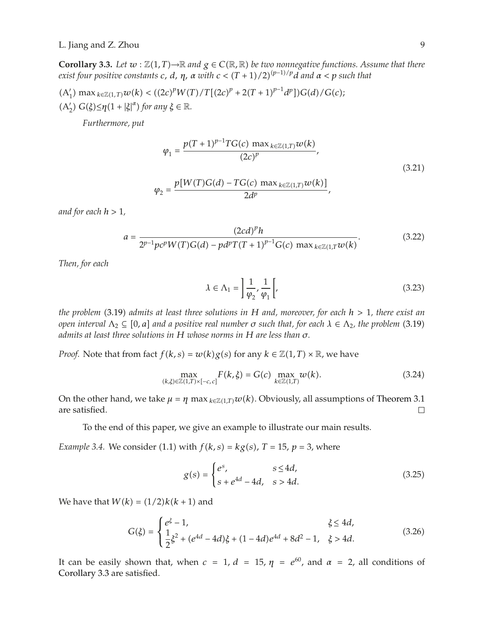**Corollary 3.3.** *Let*  $w : \mathbb{Z}(1,T) \to \mathbb{R}$  and  $g \in C(\mathbb{R}, \mathbb{R})$  be two nonnegative functions. Assume that there *exist four positive constants*  $c$ *,*  $d$ *,*  $\eta$ *,*  $\alpha$  *with*  $c < (T+1)/2)^{(p-1)/p}d$  *and*  $\alpha < p$  *such that* 

$$
(A'_1) \max_{k \in \mathbb{Z}(1,T)} w(k) < ((2c)^p W(T) / T[(2c)^p + 2(T+1)^{p-1} d^p]) G(d) / G(c);
$$
\n
$$
(A'_2) G(\xi) \leq \eta (1 + |\xi|^{\alpha}) \text{ for any } \xi \in \mathbb{R}.
$$

*Furthermore, put*

$$
\varphi_1 = \frac{p(T+1)^{p-1}TG(c) \max_{k \in \mathbb{Z}(1,T)} w(k)}{(2c)^p},
$$
\n
$$
\varphi_2 = \frac{p[W(T)G(d) - TG(c) \max_{k \in \mathbb{Z}(1,T)} w(k)]}{2d^p},
$$
\n(3.21)

*and for each h >* 1*,*

$$
a = \frac{(2cd)^{p}h}{2^{p-1}pc^{p}W(T)G(d) - pd^{p}T(T+1)^{p-1}G(c) \max_{k \in \mathbb{Z}(1,T)}w(k)}.
$$
(3.22)

*Then, for each*

$$
\lambda \in \Lambda_1 = \left[ \frac{1}{\varphi_2}, \frac{1}{\varphi_1} \right],\tag{3.23}
$$

*the problem* 3.19 *admits at least three solutions in H and, moreover, for each h >* 1*, there exist an open interval*  $\Lambda_2 \subseteq [0, a]$  *and a positive real number*  $\sigma$  *such that, for each*  $\lambda \in \Lambda_2$ , *the problem* (3.19) *admits at least three solutions in H whose norms in H are less than σ.*

*Proof.* Note that from fact  $f(k, s) = w(k)g(s)$  for any  $k \in \mathbb{Z}(1, T) \times \mathbb{R}$ , we have

$$
\max_{(k,\xi)\in\mathbb{Z}(1,T)\times[-c,c]} F(k,\xi) = G(c) \max_{k\in\mathbb{Z}(1,T)} w(k).
$$
 (3.24)

On the other hand, we take  $\mu = \eta \max_{k \in \mathbb{Z}(1,T)} w(k)$ . Obviously, all assumptions of Theorem 3.1 are satisfied. are satisfied.

To the end of this paper, we give an example to illustrate our main results.

*Example 3.4.* We consider (1.1) with  $f(k, s) = kg(s)$ ,  $T = 15$ ,  $p = 3$ , where

$$
g(s) = \begin{cases} e^s, & s \le 4d, \\ s + e^{4d} - 4d, & s > 4d. \end{cases}
$$
 (3.25)

We have that  $W(k) = (1/2)k(k+1)$  and

$$
G(\xi) = \begin{cases} e^{\xi} - 1, & \xi \le 4d, \\ \frac{1}{2}\xi^2 + (e^{4d} - 4d)\xi + (1 - 4d)e^{4d} + 8d^2 - 1, & \xi > 4d. \end{cases}
$$
(3.26)

It can be easily shown that, when  $c = 1$ ,  $d = 15$ ,  $\eta = e^{60}$ , and  $\alpha = 2$ , all conditions of Corollary 3.3 are satisfied.